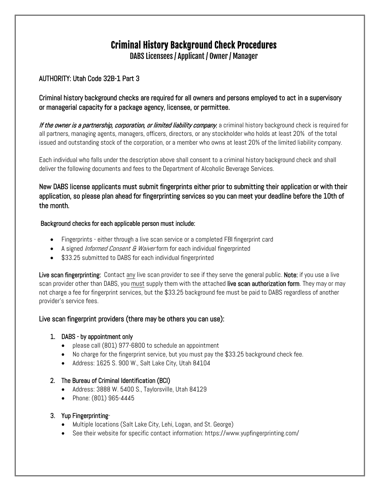# Criminal History Background Check Procedures

DABS Licensees / Applicant / Owner/ Manager

## AUTHORITY: Utah Code 32B-1 Part 3

## Criminal history background checks are required for all owners and persons employed to act in a supervisory or managerial capacity for a package agency, licensee, or permittee.

If the owner is a partnership, corporation, or limited liability company, a criminal history background check is required for all partners, managing agents, managers, officers, directors, or any stockholder who holds at least 20% of the total issued and outstanding stock of the corporation, or a member who owns at least 20% of the limited liability company.

Each individual who falls under the description above shall consent to a criminal history background check and shall deliver the following documents and fees to the Department of Alcoholic Beverage Services.

## New DABS license applicants must submit fingerprints either prior to submitting their application or with their application, so please plan ahead for fingerprinting services so you can meet your deadline before the 10th of the month.

#### Background checks for each applicable person must include:

- Fingerprints either through a live scan service or a completed FBI fingerprint card
- A signed *Informed Consent & Waiver* form for each individual fingerprinted
- \$33.25 submitted to DABS for each individual fingerprinted

Live scan fingerprinting: Contact any live scan provider to see if they serve the general public. Note: if you use a live scan provider other than DABS, you must supply them with the attached live scan authorization form. They may or may not charge a fee for fingerprint services, but the \$33.25 background fee must be paid to DABS regardless of another provider's service fees.

## Live scan fingerprint providers (there may be others you can use):

## 1. DABS - by appointment only

- please call (801) 977-6800 to schedule an appointment
- No charge for the fingerprint service, but you must pay the \$33.25 background check fee.
- Address: 1625 S. 900 W., Salt Lake City, Utah 84104

#### 2. The Bureau of Criminal Identification (BCI)

- Address: 3888 W. 5400 S., Taylorsville, Utah 84129
- Phone: (801) 965-4445

## 3. Yup Fingerprinting-

- Multiple locations (Salt Lake City, Lehi, Logan, and St. George)
- See their website for specific contact information: https://www.yupfingerprinting.com/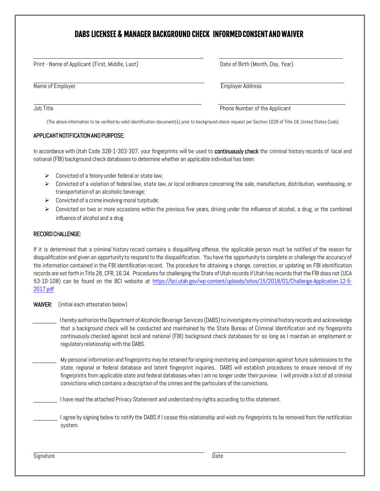## DABS LICENSEE & MANAGER BACKGROUND CHECK INFORMED CONSENT AND WAIVER

| Print - Name of Applicant (First, Middle, Last) | Date of Birth (Month, Day, Year) |
|-------------------------------------------------|----------------------------------|
| Name of Employer                                | <b>Employer Address</b>          |
| Job Title                                       | Phone Number of the Applicant    |

(The above information to be verified by valid identification document(s) prior to background check request per Section 1028 of Title 18, United States Code)

#### APPLICANT NOTIFICATION AND PURPOSE:

In accordance with Utah Code 32B-1-303-307, your fingerprints will be used to continuously check the criminal history records of local and national(FBI) background check databases to determinewhether an applicable individual has been:

- $\triangleright$  Convicted of a felony under federal or state law;
- $\triangleright$  Convicted of a violation of federal law, state law, or local ordinance concerning the sale, manufacture, distribution, warehousing, or transportation of an alcoholic beverage;
- $\triangleright$  Convicted of a crime involving moral turpitude;
- $\triangleright$  Convicted on two or more occasions within the previous five years, driving under the influence of alcohol, a drug, or the combined influence of alcohol and a drug.

#### RECORD CHALLENGE:

If it is determined that a criminal history record contains a disqualifying offense, the applicable person must be notified of the reason for disqualification and given an opportunityto respond to the disqualification. You have the opportunityto complete or challenge the accuracy of the information contained in the FBI identification record. The procedure for obtaining a change, correction, or updating an FBI identification records are set forth in Title 28, CFR, 16.34. Procedures for challenging the State of Utah records if Utah has records that the FBI does not (UCA 53-10-108) can be found on the BCI website at [https://bci.utah.gov/wp-content/uploads/sites/15/2018/01/Challenge-Application-12-5-](https://bci.utah.gov/wp-content/uploads/sites/15/2018/01/Challenge-Application-12-5-2017.pdf) [2017.pdf](https://bci.utah.gov/wp-content/uploads/sites/15/2018/01/Challenge-Application-12-5-2017.pdf)

#### WAIVER: (initial each attestation below)

I hereby authorize the Department of Alcoholic Beverage Services (DABS) to investigate my criminal history records and acknowledge that a background check will be conducted and maintained by the State Bureau of Criminal Identification and my fingerprints continuously checked against local and national (FBI) background check databases for so long as I maintain an employment or regulatoryrelationship with the DABS.

My personal information and fingerprints may be retained for ongoing monitoring and comparison against future submissions to the state, regional or federal database and latent fingerprint inquiries. DABS will establish procedures to ensure removal of my fingerprints from applicable state and federal databases when I am no longer under their purview. I will provide a list of all criminal convictions which contains a description of the crimes and the particulars of the convictions.

I have read the attached Privacy Statement and understand my rights according to this statement.

I agree by signing below to notify the DABS if I cease this relationship and wish my fingerprints to be removed from the notification system.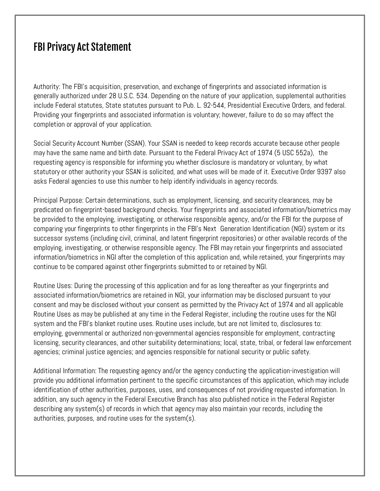# FBI Privacy Act Statement

Authority: The FBI's acquisition, preservation, and exchange of fingerprints and associated information is generally authorized under 28 U.S.C. 534. Depending on the nature of your application, supplemental authorities include Federal statutes, State statutes pursuant to Pub. L. 92-544, Presidential Executive Orders, and federal. Providing your fingerprints and associated information is voluntary; however, failure to do so may affect the completion or approval of your application.

Social Security Account Number (SSAN). Your SSAN is needed to keep records accurate because other people may have the same name and birth date. Pursuant to the Federal Privacy Act of 1974 (5 USC 552a), the requesting agency is responsible for informing you whether disclosure is mandatory or voluntary, by what statutory or other authority your SSAN is solicited, and what uses will be made of it. Executive Order 9397 also asks Federal agencies to use this number to help identify individuals in agency records.

Principal Purpose: Certain determinations, such as employment, licensing, and security clearances, may be predicated on fingerprint-based background checks. Your fingerprints and associated information/biometrics may be provided to the employing, investigating, or otherwise responsible agency, and/or the FBI for the purpose of comparing your fingerprints to other fingerprints in the FBI's Next Generation Identification (NGI) system or its successor systems (including civil, criminal, and latent fingerprint repositories) or other available records of the employing, investigating, or otherwise responsible agency. The FBI may retain your fingerprints and associated information/biometrics in NGI after the completion of this application and, while retained, your fingerprints may continue to be compared against other fingerprints submitted to or retained by NGI.

Routine Uses: During the processing of this application and for as long thereafter as your fingerprints and associated information/biometrics are retained in NGI, your information may be disclosed pursuant to your consent and may be disclosed without your consent as permitted by the Privacy Act of 1974 and all applicable Routine Uses as may be published at any time in the Federal Register, including the routine uses for the NGI system and the FBI's blanket routine uses. Routine uses include, but are not limited to, disclosures to: employing, governmental or authorized non-governmental agencies responsible for employment, contracting licensing, security clearances, and other suitability determinations; local, state, tribal, or federal law enforcement agencies; criminal justice agencies; and agencies responsible for national security or public safety.

Additional Information: The requesting agency and/or the agency conducting the application-investigation will provide you additional information pertinent to the specific circumstances of this application, which may include identification of other authorities, purposes, uses, and consequences of not providing requested information. In addition, any such agency in the Federal Executive Branch has also published notice in the Federal Register describing any system(s) of records in which that agency may also maintain your records, including the authorities, purposes, and routine uses for the system(s).